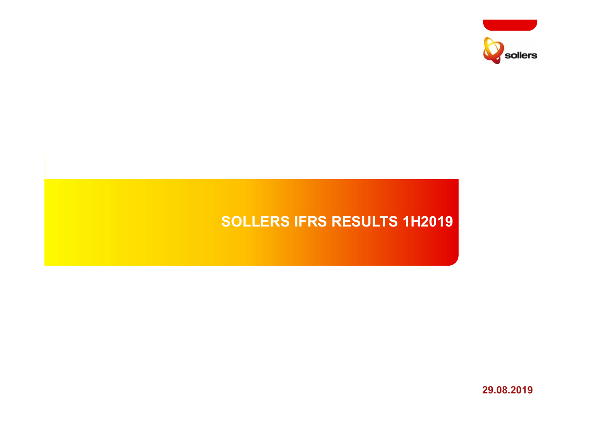

# **SOLLERS IFRS RESULTS 1H2019**

**29.08.2019**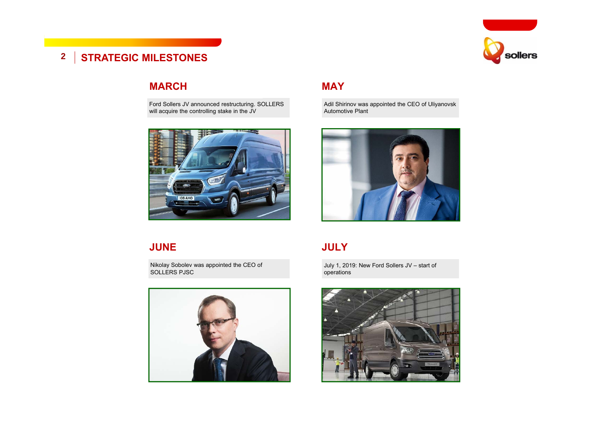

## **2 STRATEGIC MILESTONES**

#### **MARCH**

Ford Sollers JV announced restructuring. SOLLERS will acquire the controlling stake in the JV



#### **MAY**

Adil Shirinov was appointed the CEO of Uliyanovsk Automotive Plant



#### **JUNE**

Nikolay Sobolev was appointed the CEO of SOLLERS PJSC



## **JULY**

July 1, 2019: New Ford Sollers JV – start of operations

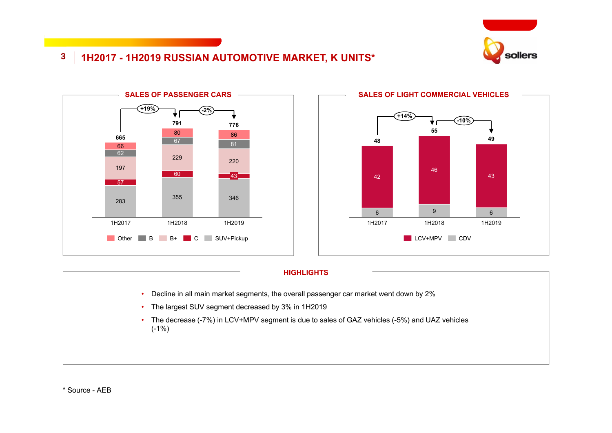

## **3 1H2017 - 1H2019 RUSSIAN AUTOMOTIVE MARKET, K UNITS\***





#### **HIGHLIGHTS**

- •Decline in all main market segments, the overall passenger car market went down by 2%
- The largest SUV segment decreased by 3% in 1H2019
- The decrease (-7%) in LCV+MPV segment is due to sales of GAZ vehicles (-5%) and UAZ vehicles (-1%)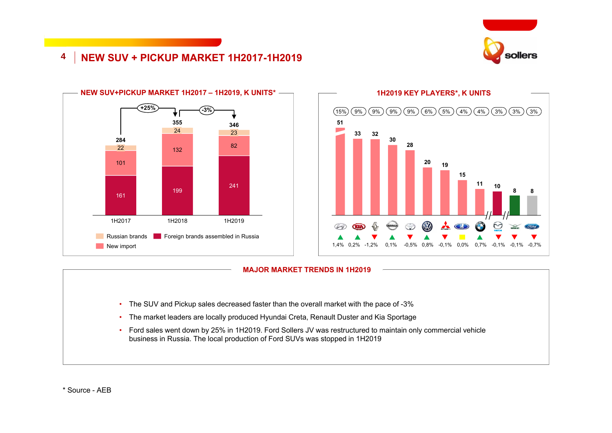

## **4 NEW SUV + PICKUP MARKET 1H2017-1H2019**





#### **MAJOR MARKET TRENDS IN 1H2019**

- The SUV and Pickup sales decreased faster than the overall market with the pace of -3%
- The market leaders are locally produced Hyundai Creta, Renault Duster and Kia Sportage
- Ford sales went down by 25% in 1H2019. Ford Sollers JV was restructured to maintain only commercial vehicle business in Russia. The local production of Ford SUVs was stopped in 1H2019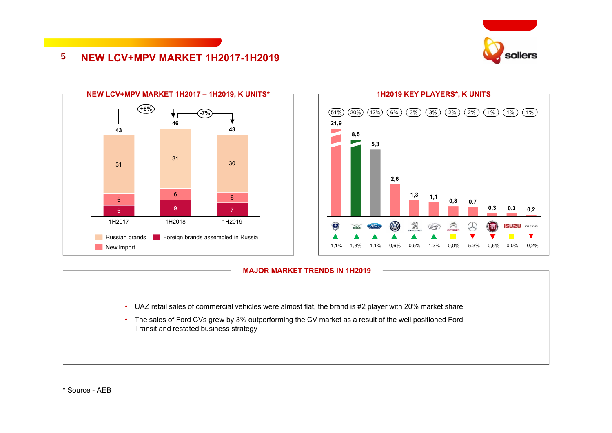

## **5 NEW LCV+MPV MARKET 1H2017-1H2019**





#### **MAJOR MARKET TRENDS IN 1H2019**

- UAZ retail sales of commercial vehicles were almost flat, the brand is #2 player with 20% market share
- The sales of Ford CVs grew by 3% outperforming the СV market as a result of the well positioned Ford Transit and restated business strategy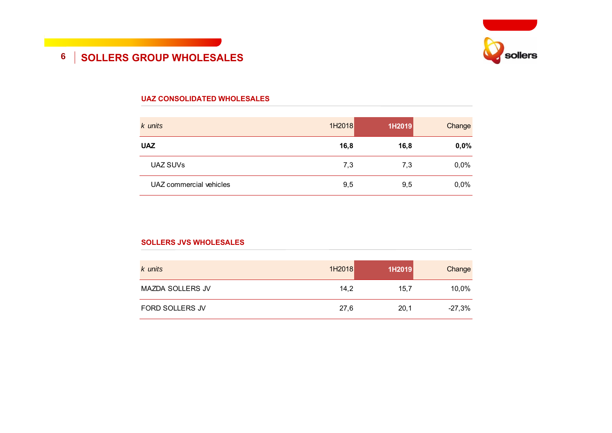

## **6 SOLLERS GROUP WHOLESALES**

#### **UAZ CONSOLIDATED WHOLESALES**

| k units                 | 1H2018 | 1H2019 | Change |
|-------------------------|--------|--------|--------|
| <b>UAZ</b>              | 16,8   | 16,8   | 0,0%   |
| UAZ SUVs                | 7,3    | 7,3    | 0,0%   |
| UAZ commercial vehicles | 9,5    | 9,5    | 0,0%   |

#### **SOLLERS JVS WHOLESALES**

| k units                 | 1H2018 | 1H2019 | Change   |
|-------------------------|--------|--------|----------|
| <b>MAZDA SOLLERS JV</b> | 14.2   | 15,7   | 10,0%    |
| FORD SOLLERS JV         | 27,6   | 20,1   | $-27,3%$ |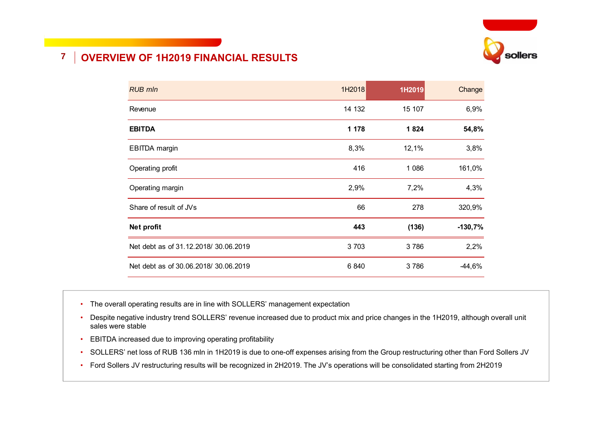

## **7 OVERVIEW OF 1H2019 FINANCIAL RESULTS**

| <b>RUB mln</b>                       | 1H2018  | 1H2019  | Change    |
|--------------------------------------|---------|---------|-----------|
| Revenue                              | 14 132  | 15 107  | 6,9%      |
| <b>EBITDA</b>                        | 1 1 7 8 | 1824    | 54,8%     |
| <b>EBITDA</b> margin                 | 8,3%    | 12,1%   | 3,8%      |
| Operating profit                     | 416     | 1 0 8 6 | 161,0%    |
| Operating margin                     | 2,9%    | 7,2%    | 4,3%      |
| Share of result of JVs               | 66      | 278     | 320,9%    |
| Net profit                           | 443     | (136)   | $-130,7%$ |
| Net debt as of 31.12.2018/30.06.2019 | 3703    | 3786    | 2,2%      |
| Net debt as of 30.06.2018/30.06.2019 | 6840    | 3786    | $-44,6%$  |

- The overall operating results are in line with SOLLERS' management expectation
- Despite negative industry trend SOLLERS' revenue increased due to product mix and price changes in the 1H2019, although overall unit sales were stable
- EBITDA increased due to improving operating profitability
- SOLLERS' net loss of RUB 136 mln in 1H2019 is due to one-off expenses arising from the Group restructuring other than Ford Sollers JV
- Ford Sollers JV restructuring results will be recognized in 2H2019. The JV's operations will be consolidated starting from 2H2019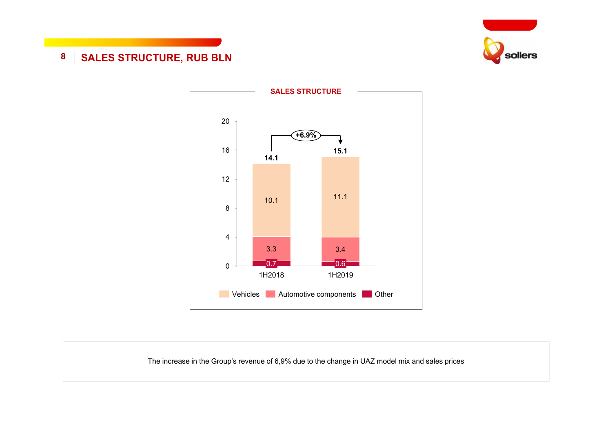

## **8 SALES STRUCTURE, RUB BLN**



The increase in the Group's revenue of 6,9% due to the change in UAZ model mix and sales prices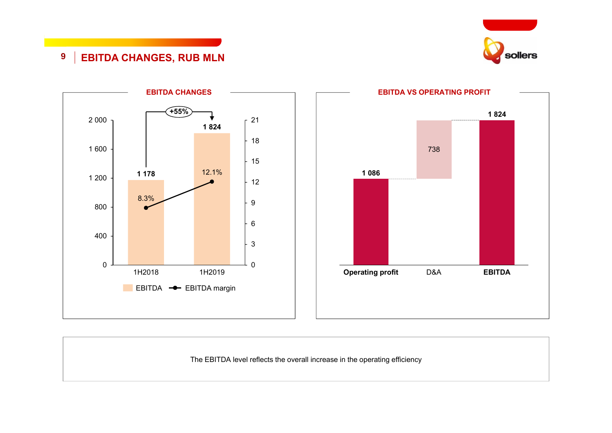

## **9 EBITDA CHANGES, RUB MLN**





The EBITDA level reflects the overall increase in the operating efficiency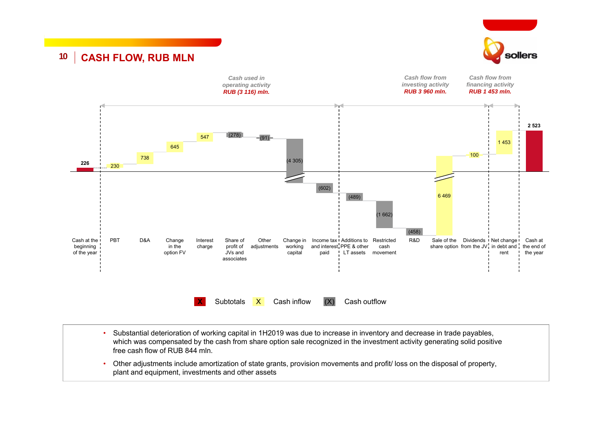

## **10 CASH FLOW, RUB MLN**



- • Substantial deterioration of working capital in 1H2019 was due to increase in inventory and decrease in trade payables, which was compensated by the cash from share option sale recognized in the investment activity generating solid positive free cash flow of RUB 844 mln.
- • Other adjustments include amortization of state grants, provision movements and profit/ loss on the disposal of property, plant and equipment, investments and other assets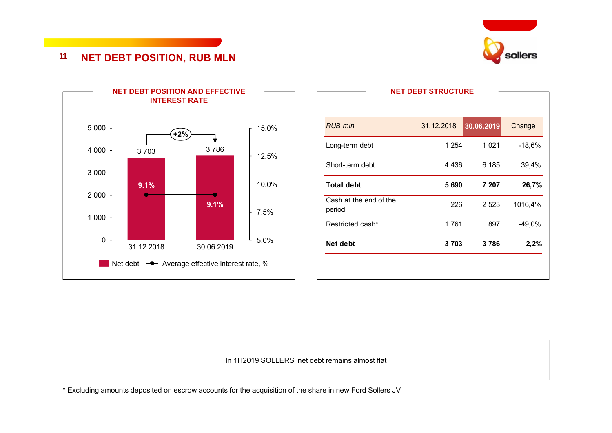

## **11 NET DEBT POSITION, RUB MLN**



| Restricted cash*                 | 1761       | 897        | $-49,0%$ |
|----------------------------------|------------|------------|----------|
| Cash at the end of the<br>period | 226        | 2 5 2 3    | 1016,4%  |
| <b>Total debt</b>                | 5 6 9 0    | 7 207      | 26,7%    |
| Short-term debt                  | 4 4 3 6    | 6 185      | 39,4%    |
| Long-term debt                   | 1 254      | 1 0 2 1    | $-18,6%$ |
| <b>RUB mln</b>                   | 31.12.2018 | 30.06.2019 | Change   |

In 1H2019 SOLLERS' net debt remains almost flat

\* Excluding amounts deposited on escrow accounts for the acquisition of the share in new Ford Sollers JV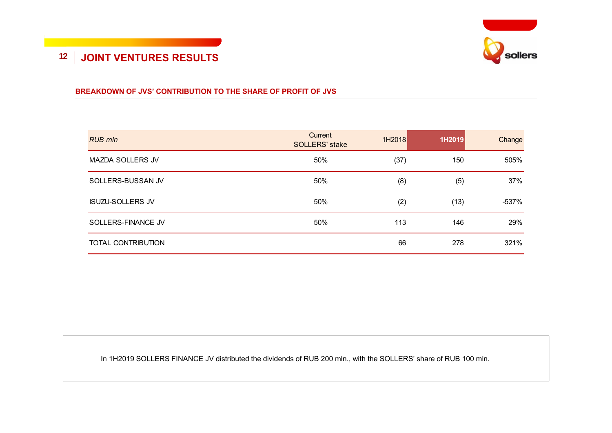

## **12 JOINT VENTURES RESULTS**

#### **BREAKDOWN OF JVS' CONTRIBUTION TO THE SHARE OF PROFIT OF JVS**

| <b>RUB mln</b>            | Current<br><b>SOLLERS' stake</b> | 1H2018 | 1H2019 | Change  |
|---------------------------|----------------------------------|--------|--------|---------|
| <b>MAZDA SOLLERS JV</b>   | 50%                              | (37)   | 150    | 505%    |
| SOLLERS-BUSSAN JV         | 50%                              | (8)    | (5)    | 37%     |
| <b>ISUZU-SOLLERS JV</b>   | 50%                              | (2)    | (13)   | $-537%$ |
| SOLLERS-FINANCE JV        | 50%                              | 113    | 146    | 29%     |
| <b>TOTAL CONTRIBUTION</b> |                                  | 66     | 278    | 321%    |

In 1H2019 SOLLERS FINANCE JV distributed the dividends of RUB 200 mln., with the SOLLERS' share of RUB 100 mln.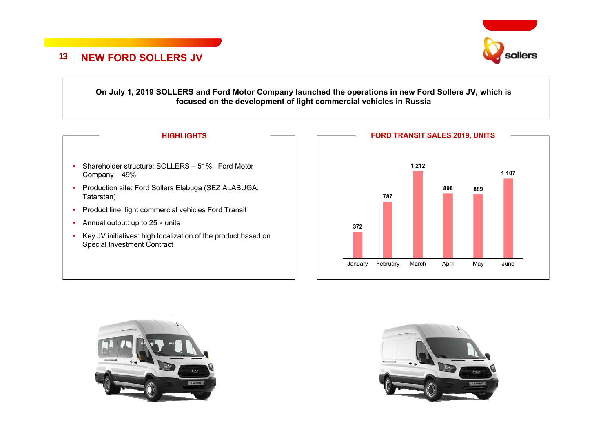

#### **On July 1, 2019 SOLLERS and Ford Motor Company launched the operations in new Ford Sollers JV, which is focused on the development of light commercial vehicles in Russia**





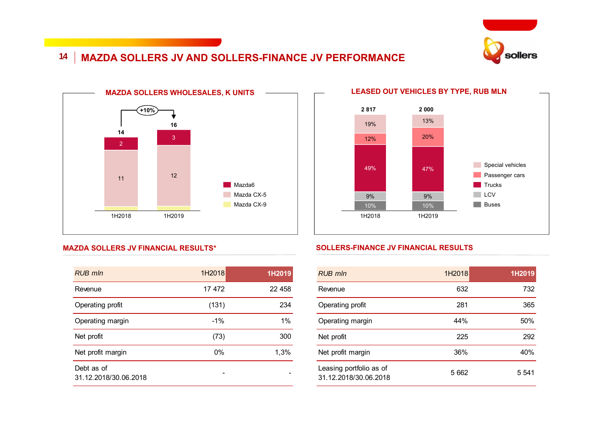

#### **14 MAZDA SOLLERS JV AND SOLLERS-FINANCE JV PERFORMANCE**



#### 9%13%12% 1H201920%19%1H201810%49% 47%9%10%**2 817 2 000** Special vehicles Buses **Passenger cars** Trucks  $LCV$

#### **SOLLERS-FINANCE JV FINANCIAL RESULTS**

| $RUB$ mln                                        | 1H2018  | 1H2019  |
|--------------------------------------------------|---------|---------|
| Revenue                                          | 632     | 732     |
| Operating profit                                 | 281     | 365     |
| Operating margin                                 | 44%     | 50%     |
| Net profit                                       | 225     | 292     |
| Net profit margin                                | 36%     | 40%     |
| Leasing portfolio as of<br>31.12.2018/30.06.2018 | 5 6 6 2 | 5 5 4 1 |

#### **MAZDA SOLLERS JV FINANCIAL RESULTS\***

| <b>RUB mln</b>                      | 1H2018 | 1H2019 |
|-------------------------------------|--------|--------|
| Revenue                             | 17472  | 22 458 |
| Operating profit                    | (131)  | 234    |
| Operating margin                    | $-1\%$ | 1%     |
| Net profit                          | (73)   | 300    |
| Net profit margin                   | $0\%$  | 1,3%   |
| Debt as of<br>31.12.2018/30.06.2018 |        |        |